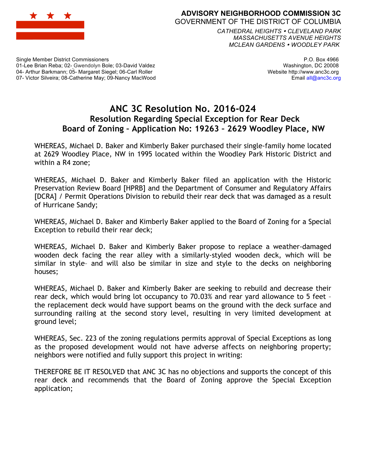

**ADVISORY NEIGHBORHOOD COMMISSION 3C** GOVERNMENT OF THE DISTRICT OF COLUMBIA

*CATHEDRAL HEIGHTS CLEVELAND PARK MASSACHUSETTS AVENUE HEIGHTS MCLEAN GARDENS WOODLEY PARK*

Single Member District Commissioners 01-Lee Brian Reba; 02- Gwendolyn Bole; 03-David Valdez 04- Arthur Barkmann; 05- Margaret Siegel; 06-Carl Roller 07- Victor Silveira; 08-Catherine May; 09-Nancy MacWood

P.O. Box 4966 Washington, DC 20008 Website http://www.anc3c.org Email all@anc3c.org

## **ANC 3C Resolution No. 2016-024 Resolution Regarding Special Exception for Rear Deck Board of Zoning – Application No: 19263 – 2629 Woodley Place, NW**

WHEREAS, Michael D. Baker and Kimberly Baker purchased their single-family home located at 2629 Woodley Place, NW in 1995 located within the Woodley Park Historic District and within a R4 zone;

WHEREAS, Michael D. Baker and Kimberly Baker filed an application with the Historic Preservation Review Board [HPRB] and the Department of Consumer and Regulatory Affairs [DCRA] / Permit Operations Division to rebuild their rear deck that was damaged as a result of Hurricane Sandy;

WHEREAS, Michael D. Baker and Kimberly Baker applied to the Board of Zoning for a Special Exception to rebuild their rear deck;

WHEREAS, Michael D. Baker and Kimberly Baker propose to replace a weather-damaged wooden deck facing the rear alley with a similarly-styled wooden deck, which will be similar in style– and will also be similar in size and style to the decks on neighboring houses;

WHEREAS, Michael D. Baker and Kimberly Baker are seeking to rebuild and decrease their rear deck, which would bring lot occupancy to 70.03% and rear yard allowance to 5 feet – the replacement deck would have support beams on the ground with the deck surface and surrounding railing at the second story level, resulting in very limited development at ground level;

WHEREAS, Sec. 223 of the zoning regulations permits approval of Special Exceptions as long as the proposed development would not have adverse affects on neighboring property; neighbors were notified and fully support this project in writing:

THEREFORE BE IT RESOLVED that ANC 3C has no objections and supports the concept of this rear deck and recommends that the Board of Zoning approve the Special Exception application;